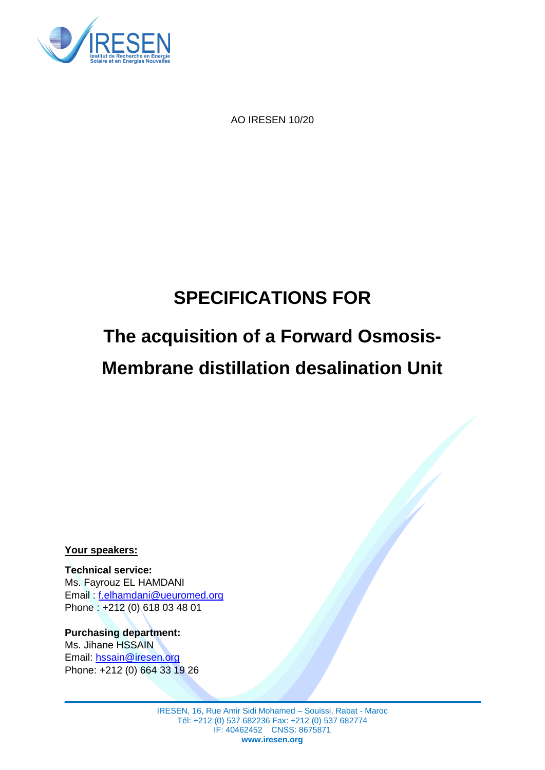

AO IRESEN 10/20

# **SPECIFICATIONS FOR**

# **The acquisition of a Forward Osmosis-Membrane distillation desalination Unit**

**Your speakers:**

**Technical service:** Ms. Fayrouz EL HAMDANI Email : f.elhamdani@ueuromed.org Phone : +212 (0) 618 03 48 01

**Purchasing department:** Ms. Jihane HSSAIN Email: [hssain@iresen.org](mailto:hssain@iresen.org) Phone: +212 (0) 664 33 19 26

> IRESEN, 16, Rue Amir Sidi Mohamed – Souissi, Rabat - Maroc Tél: +212 (0) 537 682236 Fax: +212 (0) 537 682774 IF: 40462452 CNSS: 8675871 **www.iresen.org**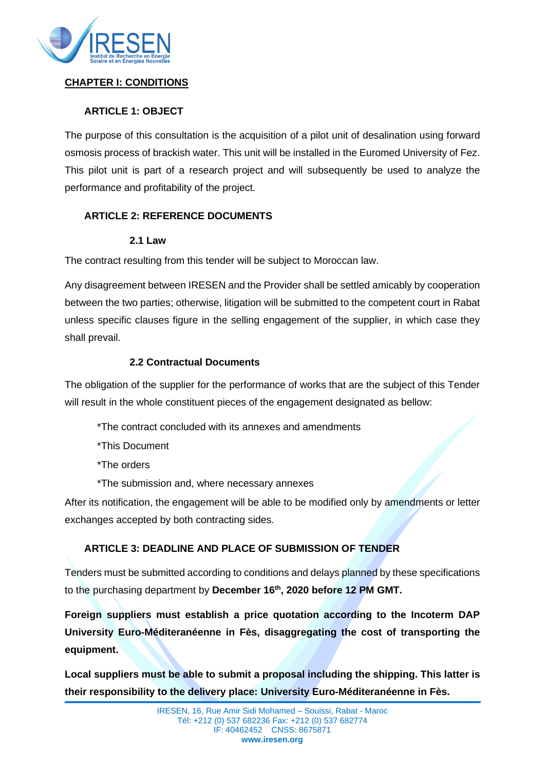

## **CHAPTER I: CONDITIONS**

## **ARTICLE 1: OBJECT**

The purpose of this consultation is the acquisition of a pilot unit of desalination using forward osmosis process of brackish water. This unit will be installed in the Euromed University of Fez. This pilot unit is part of a research project and will subsequently be used to analyze the performance and profitability of the project.

# **ARTICLE 2: REFERENCE DOCUMENTS**

#### **2.1 Law**

The contract resulting from this tender will be subject to Moroccan law.

Any disagreement between IRESEN and the Provider shall be settled amicably by cooperation between the two parties; otherwise, litigation will be submitted to the competent court in Rabat unless specific clauses figure in the selling engagement of the supplier, in which case they shall prevail.

#### **2.2 Contractual Documents**

The obligation of the supplier for the performance of works that are the subject of this Tender will result in the whole constituent pieces of the engagement designated as bellow:

- \*The contract concluded with its annexes and amendments
- \*This Document
- \*The orders
- \*The submission and, where necessary annexes

After its notification, the engagement will be able to be modified only by amendments or letter exchanges accepted by both contracting sides.

# **ARTICLE 3: DEADLINE AND PLACE OF SUBMISSION OF TENDER**

Tenders must be submitted according to conditions and delays planned by these specifications to the purchasing department by **December 16th, 2020 before 12 PM GMT.**

**Foreign suppliers must establish a price quotation according to the Incoterm DAP University Euro-Méditeranéenne in Fès, disaggregating the cost of transporting the equipment.**

**Local suppliers must be able to submit a proposal including the shipping. This latter is their responsibility to the delivery place: University Euro-Méditeranéenne in Fès.**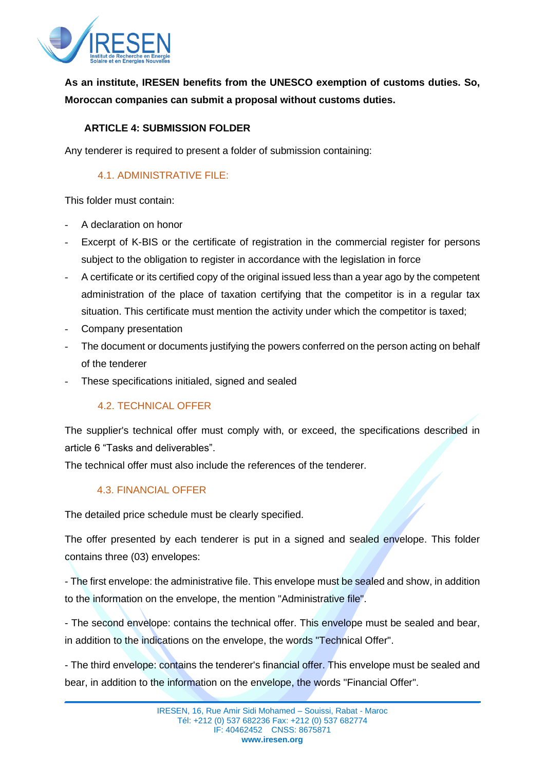

**As an institute, IRESEN benefits from the UNESCO exemption of customs duties. So, Moroccan companies can submit a proposal without customs duties.**

#### **ARTICLE 4: SUBMISSION FOLDER**

Any tenderer is required to present a folder of submission containing:

# 4.1. ADMINISTRATIVE FILE:

This folder must contain:

- A declaration on honor
- Excerpt of K-BIS or the certificate of registration in the commercial register for persons subject to the obligation to register in accordance with the legislation in force
- A certificate or its certified copy of the original issued less than a year ago by the competent administration of the place of taxation certifying that the competitor is in a regular tax situation. This certificate must mention the activity under which the competitor is taxed;
- Company presentation
- The document or documents justifying the powers conferred on the person acting on behalf of the tenderer
- These specifications initialed, signed and sealed

# 4.2. TECHNICAL OFFER

The supplier's technical offer must comply with, or exceed, the specifications described in article 6 "Tasks and deliverables".

The technical offer must also include the references of the tenderer.

# 4.3. FINANCIAL OFFER

The detailed price schedule must be clearly specified.

The offer presented by each tenderer is put in a signed and sealed envelope. This folder contains three (03) envelopes:

- The first envelope: the administrative file. This envelope must be sealed and show, in addition to the information on the envelope, the mention "Administrative file".

- The second envelope: contains the technical offer. This envelope must be sealed and bear, in addition to the indications on the envelope, the words "Technical Offer".

- The third envelope: contains the tenderer's financial offer. This envelope must be sealed and bear, in addition to the information on the envelope, the words "Financial Offer".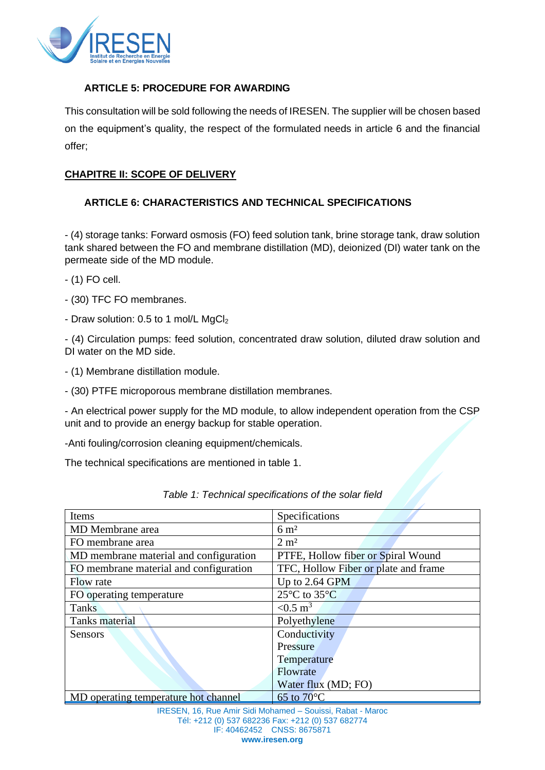

#### **ARTICLE 5: PROCEDURE FOR AWARDING**

This consultation will be sold following the needs of IRESEN. The supplier will be chosen based on the equipment's quality, the respect of the formulated needs in article 6 and the financial offer;

#### **CHAPITRE II: SCOPE OF DELIVERY**

# **ARTICLE 6: CHARACTERISTICS AND TECHNICAL SPECIFICATIONS**

- (4) storage tanks: Forward osmosis (FO) feed solution tank, brine storage tank, draw solution tank shared between the FO and membrane distillation (MD), deionized (DI) water tank on the permeate side of the MD module.

- (1) FO cell.
- (30) TFC FO membranes.
- Draw solution: 0.5 to 1 mol/L MgCl<sub>2</sub>

- (4) Circulation pumps: feed solution, concentrated draw solution, diluted draw solution and DI water on the MD side.

- (1) Membrane distillation module.

- (30) PTFE microporous membrane distillation membranes.

- An electrical power supply for the MD module, to allow independent operation from the CSP unit and to provide an energy backup for stable operation.

-Anti fouling/corrosion cleaning equipment/chemicals.

The technical specifications are mentioned in table 1.

| Items                                                      | Specifications                       |  |
|------------------------------------------------------------|--------------------------------------|--|
| MD Membrane area                                           | $6 \text{ m}^2$                      |  |
| FO membrane area                                           | $2 \text{ m}^2$                      |  |
| MD membrane material and configuration                     | PTFE, Hollow fiber or Spiral Wound   |  |
| FO membrane material and configuration                     | TFC, Hollow Fiber or plate and frame |  |
| Flow rate                                                  | Up to 2.64 GPM                       |  |
| FO operating temperature                                   | 25°C to 35°C                         |  |
| Tanks                                                      | $< 0.5 \text{ m}^3$                  |  |
| Tanks material                                             | Polyethylene                         |  |
| Sensors                                                    | Conductivity                         |  |
|                                                            | Pressure                             |  |
|                                                            | Temperature                          |  |
|                                                            | Flowrate                             |  |
|                                                            | Water flux (MD; FO)                  |  |
| MD operating temperature hot channel                       | $65$ to $70^{\circ}$ C               |  |
| IRESEN, 16, Rue Amir Sidi Mohamed - Souissi, Rabat - Maroc |                                      |  |
| Tél: +212 (0) 537 682236 Fax: +212 (0) 537 682774          |                                      |  |
| IF: 40462452 CNSS: 8675871                                 |                                      |  |

|  | Table 1: Technical specifications of the solar field |  |  |
|--|------------------------------------------------------|--|--|
|--|------------------------------------------------------|--|--|

**www.iresen.org**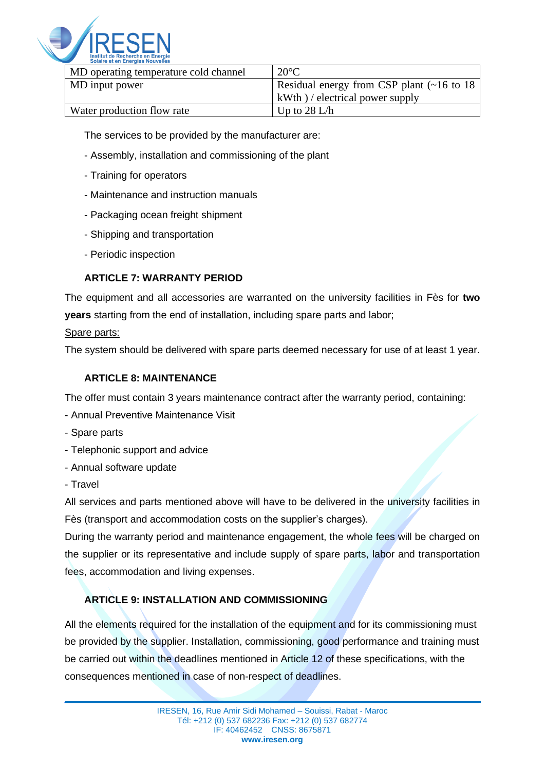

| MD operating temperature cold channel | $20^{\circ}$ C                                   |
|---------------------------------------|--------------------------------------------------|
| MD input power                        | Residual energy from CSP plant (~16 to 18)       |
|                                       | $\vert$ kWth $\rangle$ / electrical power supply |
| Water production flow rate            | Up to $28 \text{ L/h}$                           |

The services to be provided by the manufacturer are:

- Assembly, installation and commissioning of the plant
- Training for operators
- Maintenance and instruction manuals
- Packaging ocean freight shipment
- Shipping and transportation
- Periodic inspection

# **ARTICLE 7: WARRANTY PERIOD**

The equipment and all accessories are warranted on the university facilities in Fès for **two years** starting from the end of installation, including spare parts and labor;

#### Spare parts:

The system should be delivered with spare parts deemed necessary for use of at least 1 year.

# **ARTICLE 8: MAINTENANCE**

The offer must contain 3 years maintenance contract after the warranty period, containing:

- Annual Preventive Maintenance Visit
- Spare parts
- Telephonic support and advice
- Annual software update
- Travel

All services and parts mentioned above will have to be delivered in the university facilities in Fès (transport and accommodation costs on the supplier's charges).

During the warranty period and maintenance engagement, the whole fees will be charged on the supplier or its representative and include supply of spare parts, labor and transportation fees, accommodation and living expenses.

# **ARTICLE 9: INSTALLATION AND COMMISSIONING**

All the elements required for the installation of the equipment and for its commissioning must be provided by the supplier. Installation, commissioning, good performance and training must be carried out within the deadlines mentioned in Article 12 of these specifications, with the consequences mentioned in case of non-respect of deadlines.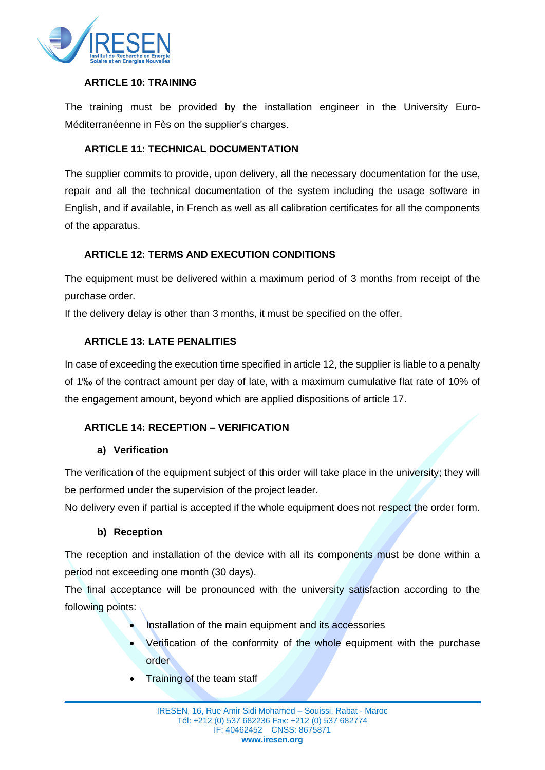

#### **ARTICLE 10: TRAINING**

The training must be provided by the installation engineer in the University Euro-Méditerranéenne in Fès on the supplier's charges.

#### **ARTICLE 11: TECHNICAL DOCUMENTATION**

The supplier commits to provide, upon delivery, all the necessary documentation for the use, repair and all the technical documentation of the system including the usage software in English, and if available, in French as well as all calibration certificates for all the components of the apparatus.

# **ARTICLE 12: TERMS AND EXECUTION CONDITIONS**

The equipment must be delivered within a maximum period of 3 months from receipt of the purchase order.

If the delivery delay is other than 3 months, it must be specified on the offer.

#### **ARTICLE 13: LATE PENALITIES**

In case of exceeding the execution time specified in article 12, the supplier is liable to a penalty of 1‰ of the contract amount per day of late, with a maximum cumulative flat rate of 10% of the engagement amount, beyond which are applied dispositions of article 17.

#### **ARTICLE 14: RECEPTION – VERIFICATION**

#### **a) Verification**

The verification of the equipment subject of this order will take place in the university; they will be performed under the supervision of the project leader.

No delivery even if partial is accepted if the whole equipment does not respect the order form.

#### **b) Reception**

The reception and installation of the device with all its components must be done within a period not exceeding one month (30 days).

The final acceptance will be pronounced with the university satisfaction according to the following points:

- Installation of the main equipment and its accessories
- Verification of the conformity of the whole equipment with the purchase order
- **Training of the team staff**